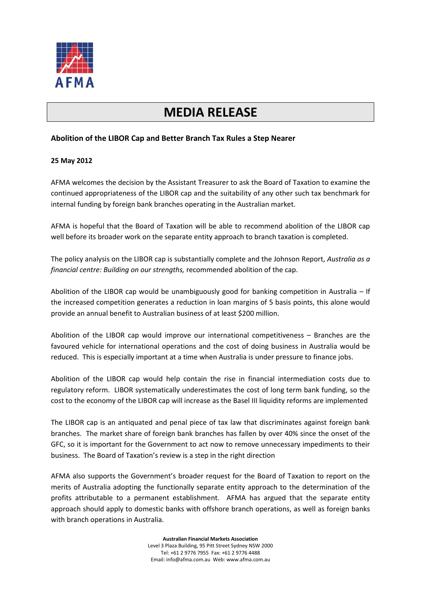

# **MEDIA RELEASE**

## **Abolition of the LIBOR Cap and Better Branch Tax Rules a Step Nearer**

### **25 May 2012**

AFMA welcomes the decision by the Assistant Treasurer to ask the Board of Taxation to examine the continued appropriateness of the LIBOR cap and the suitability of any other such tax benchmark for internal funding by foreign bank branches operating in the Australian market.

AFMA is hopeful that the Board of Taxation will be able to recommend abolition of the LIBOR cap well before its broader work on the separate entity approach to branch taxation is completed.

The policy analysis on the LIBOR cap is substantially complete and the Johnson Report, *Australia as a financial centre: Building on our strengths,* recommended abolition of the cap.

Abolition of the LIBOR cap would be unambiguously good for banking competition in Australia – If the increased competition generates a reduction in loan margins of 5 basis points, this alone would provide an annual benefit to Australian business of at least \$200 million.

Abolition of the LIBOR cap would improve our international competitiveness – Branches are the favoured vehicle for international operations and the cost of doing business in Australia would be reduced. This is especially important at a time when Australia is under pressure to finance jobs.

Abolition of the LIBOR cap would help contain the rise in financial intermediation costs due to regulatory reform. LIBOR systematically underestimates the cost of long term bank funding, so the cost to the economy of the LIBOR cap will increase as the Basel III liquidity reforms are implemented

The LIBOR cap is an antiquated and penal piece of tax law that discriminates against foreign bank branches. The market share of foreign bank branches has fallen by over 40% since the onset of the GFC, so it is important for the Government to act now to remove unnecessary impediments to their business. The Board of Taxation's review is a step in the right direction

AFMA also supports the Government's broader request for the Board of Taxation to report on the merits of Australia adopting the functionally separate entity approach to the determination of the profits attributable to a permanent establishment. AFMA has argued that the separate entity approach should apply to domestic banks with offshore branch operations, as well as foreign banks with branch operations in Australia.